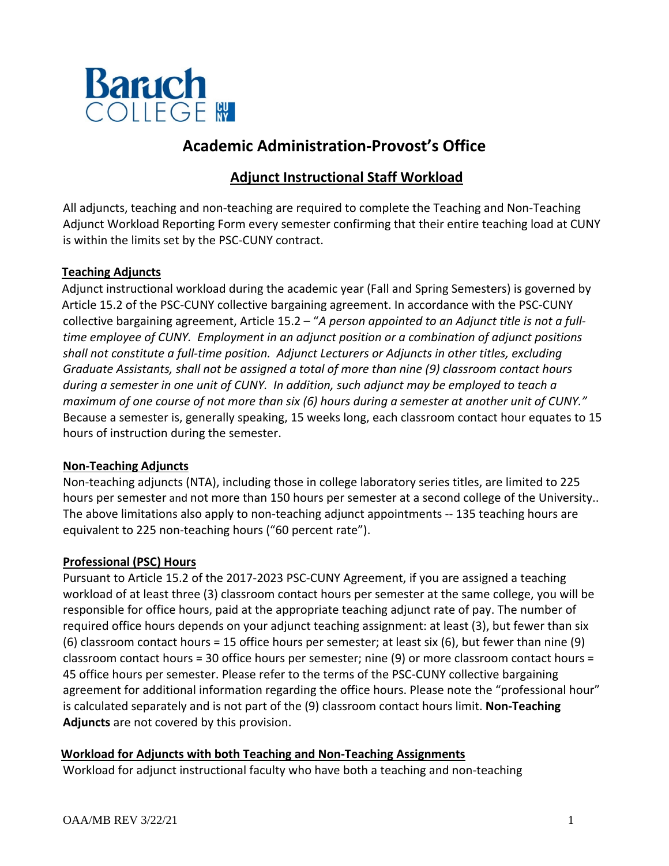

# **Academic Administration-Provost's Office**

# **Adjunct Instructional Staff Workload**

All adjuncts, teaching and non-teaching are required to complete the Teaching and Non-Teaching Adjunct Workload Reporting Form every semester confirming that their entire teaching load at CUNY is within the limits set by the PSC-CUNY contract.

# **Teaching Adjuncts**

 Adjunct instructional workload during the academic year (Fall and Spring Semesters) is governed by Article 15.2 of the PSC-CUNY collective bargaining agreement. In accordance with the PSC-CUNY collective bargaining agreement, Article 15.2 – "*A person appointed to an Adjunct title is not a fulltime employee of CUNY. Employment in an adjunct position or a combination of adjunct positions shall not constitute a full-time position. Adjunct Lecturers or Adjuncts in other titles, excluding Graduate Assistants, shall not be assigned a total of more than nine (9) classroom contact hours during a semester in one unit of CUNY. In addition, such adjunct may be employed to teach a maximum of one course of not more than six (6) hours during a semester at another unit of CUNY."* Because a semester is, generally speaking, 15 weeks long, each classroom contact hour equates to 15 hours of instruction during the semester.

#### **Non-Teaching Adjuncts**

Non-teaching adjuncts (NTA), including those in college laboratory series titles, are limited to 225 hours per semester and not more than 150 hours per semester at a second college of the University.. The above limitations also apply to non-teaching adjunct appointments -- 135 teaching hours are equivalent to 225 non-teaching hours ("60 percent rate").

# **Professional (PSC) Hours**

Pursuant to Article 15.2 of the 2017-2023 PSC-CUNY Agreement, if you are assigned a teaching workload of at least three (3) classroom contact hours per semester at the same college, you will be responsible for office hours, paid at the appropriate teaching adjunct rate of pay. The number of required office hours depends on your adjunct teaching assignment: at least (3), but fewer than six (6) classroom contact hours = 15 office hours per semester; at least six (6), but fewer than nine (9) classroom contact hours = 30 office hours per semester; nine (9) or more classroom contact hours = 45 office hours per semester. Please refer to the terms of the PSC-CUNY collective bargaining agreement for additional information regarding the office hours. Please note the "professional hour" is calculated separately and is not part of the (9) classroom contact hours limit. **Non-Teaching Adjuncts** are not covered by this provision.

**Workload for Adjuncts with both Teaching and Non-Teaching Assignments**

Workload for adjunct instructional faculty who have both a teaching and non-teaching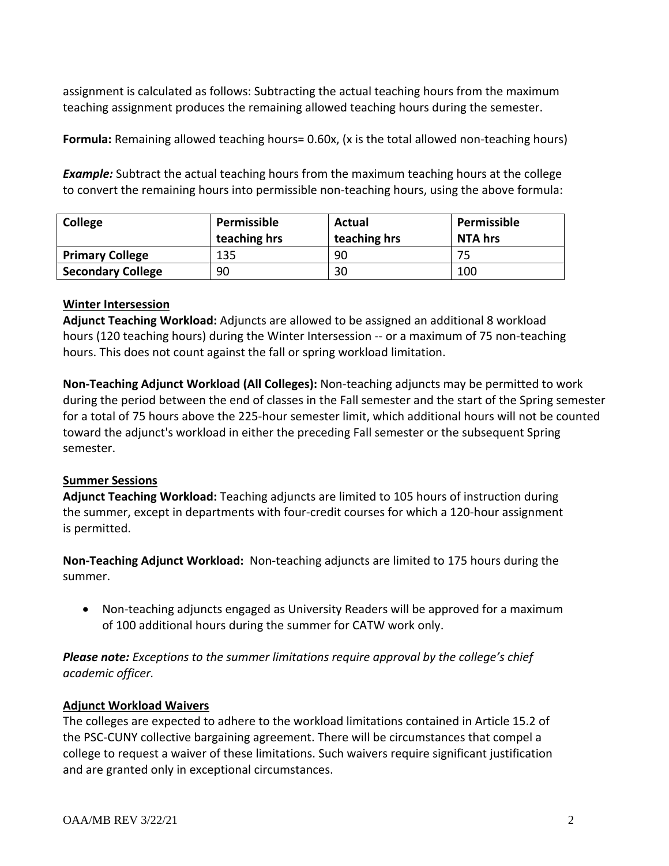assignment is calculated as follows: Subtracting the actual teaching hours from the maximum teaching assignment produces the remaining allowed teaching hours during the semester.

**Formula:** Remaining allowed teaching hours= 0.60x, (x is the total allowed non-teaching hours)

**Example:** Subtract the actual teaching hours from the maximum teaching hours at the college to convert the remaining hours into permissible non-teaching hours, using the above formula:

| <b>College</b>           | Permissible<br>teaching hrs | Actual<br>teaching hrs | Permissible<br><b>NTA hrs</b> |  |
|--------------------------|-----------------------------|------------------------|-------------------------------|--|
| <b>Primary College</b>   | 135                         | 90                     | 75                            |  |
| <b>Secondary College</b> | 90                          | 30                     | 100                           |  |

#### **Winter Intersession**

**Adjunct Teaching Workload:** Adjuncts are allowed to be assigned an additional 8 workload hours (120 teaching hours) during the Winter Intersession -- or a maximum of 75 non-teaching hours. This does not count against the fall or spring workload limitation.

**Non-Teaching Adjunct Workload (All Colleges):** Non-teaching adjuncts may be permitted to work during the period between the end of classes in the Fall semester and the start of the Spring semester for a total of 75 hours above the 225-hour semester limit, which additional hours will not be counted toward the adjunct's workload in either the preceding Fall semester or the subsequent Spring semester.

# **Summer Sessions**

**Adjunct Teaching Workload:** Teaching adjuncts are limited to 105 hours of instruction during the summer, except in departments with four-credit courses for which a 120-hour assignment is permitted.

**Non-Teaching Adjunct Workload:** Non-teaching adjuncts are limited to 175 hours during the summer.

• Non-teaching adjuncts engaged as University Readers will be approved for a maximum of 100 additional hours during the summer for CATW work only.

*Please note: Exceptions to the summer limitations require approval by the college's chief academic officer.*

#### **Adjunct Workload Waivers**

The colleges are expected to adhere to the workload limitations contained in Article 15.2 of the PSC-CUNY collective bargaining agreement. There will be circumstances that compel a college to request a waiver of these limitations. Such waivers require significant justification and are granted only in exceptional circumstances.